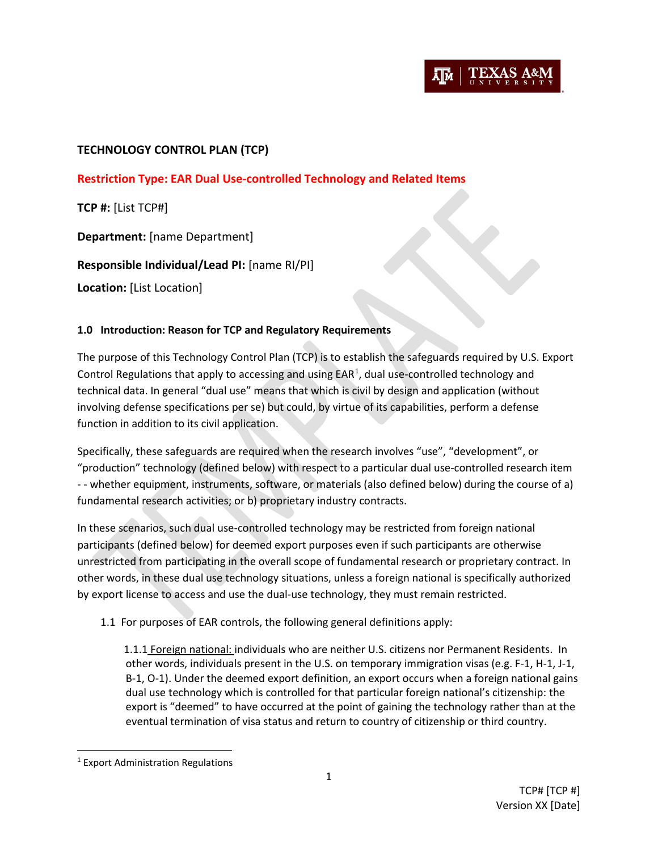

# **TECHNOLOGY CONTROL PLAN (TCP)**

**Restriction Type: EAR Dual Use-controlled Technology and Related Items**

**TCP #:** [List TCP#]

**Department:** [name Department]

**Responsible Individual/Lead PI:** [name RI/PI]

**Location:** [List Location]

### **1.0 Introduction: Reason for TCP and Regulatory Requirements**

The purpose of this Technology Control Plan (TCP) is to establish the safeguards required by U.S. Export Control Regulations that apply to accessing and using  $\text{EAR}^1$  $\text{EAR}^1$ , dual use-controlled technology and technical data. In general "dual use" means that which is civil by design and application (without involving defense specifications per se) but could, by virtue of its capabilities, perform a defense function in addition to its civil application.

Specifically, these safeguards are required when the research involves "use", "development", or "production" technology (defined below) with respect to a particular dual use-controlled research item - - whether equipment, instruments, software, or materials (also defined below) during the course of a) fundamental research activities; or b) proprietary industry contracts.

In these scenarios, such dual use-controlled technology may be restricted from foreign national participants (defined below) for deemed export purposes even if such participants are otherwise unrestricted from participating in the overall scope of fundamental research or proprietary contract. In other words, in these dual use technology situations, unless a foreign national is specifically authorized by export license to access and use the dual-use technology, they must remain restricted.

1.1 For purposes of EAR controls, the following general definitions apply:

1.1.1 Foreign national: individuals who are neither U.S. citizens nor Permanent Residents. In other words, individuals present in the U.S. on temporary immigration visas (e.g. F-1, H-1, J-1, B-1, O-1). Under the deemed export definition, an export occurs when a foreign national gains dual use technology which is controlled for that particular foreign national's citizenship: the export is "deemed" to have occurred at the point of gaining the technology rather than at the eventual termination of visa status and return to country of citizenship or third country.

<span id="page-0-0"></span> <sup>1</sup> Export Administration Regulations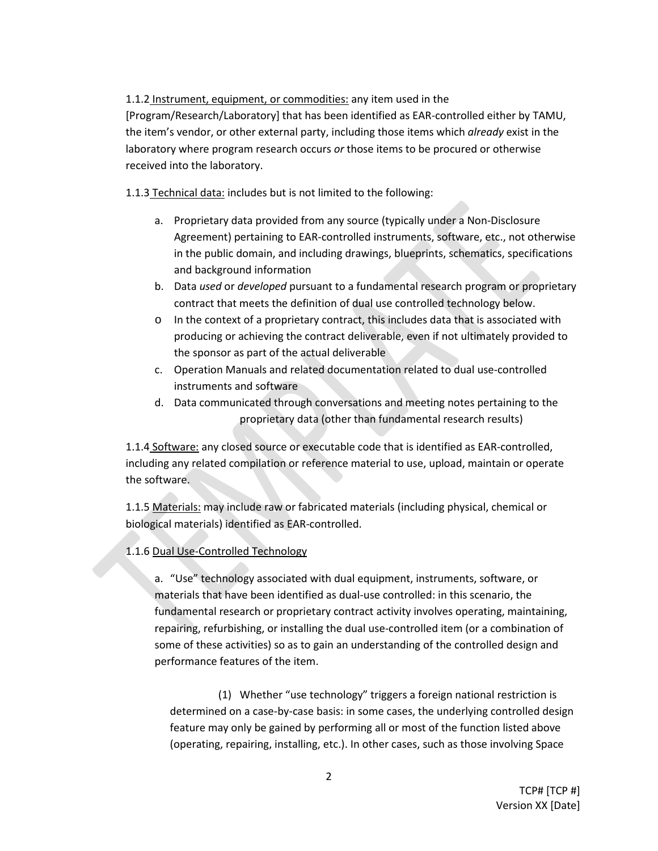# 1.1.2 Instrument, equipment, or commodities: any item used in the

[Program/Research/Laboratory] that has been identified as EAR-controlled either by TAMU, the item's vendor, or other external party, including those items which *already* exist in the laboratory where program research occurs *or* those items to be procured or otherwise received into the laboratory.

1.1.3 Technical data: includes but is not limited to the following:

- a. Proprietary data provided from any source (typically under a Non-Disclosure Agreement) pertaining to EAR-controlled instruments, software, etc., not otherwise in the public domain, and including drawings, blueprints, schematics, specifications and background information
- b. Data *used* or *developed* pursuant to a fundamental research program or proprietary contract that meets the definition of dual use controlled technology below.
- o In the context of a proprietary contract, this includes data that is associated with producing or achieving the contract deliverable, even if not ultimately provided to the sponsor as part of the actual deliverable
- c. Operation Manuals and related documentation related to dual use-controlled instruments and software
- d. Data communicated through conversations and meeting notes pertaining to the proprietary data (other than fundamental research results)

1.1.4 Software: any closed source or executable code that is identified as EAR-controlled, including any related compilation or reference material to use, upload, maintain or operate the software.

1.1.5 Materials: may include raw or fabricated materials (including physical, chemical or biological materials) identified as EAR-controlled.

# 1.1.6 Dual Use-Controlled Technology

a. "Use" technology associated with dual equipment, instruments, software, or materials that have been identified as dual-use controlled: in this scenario, the fundamental research or proprietary contract activity involves operating, maintaining, repairing, refurbishing, or installing the dual use-controlled item (or a combination of some of these activities) so as to gain an understanding of the controlled design and performance features of the item.

(1) Whether "use technology" triggers a foreign national restriction is determined on a case-by-case basis: in some cases, the underlying controlled design feature may only be gained by performing all or most of the function listed above (operating, repairing, installing, etc.). In other cases, such as those involving Space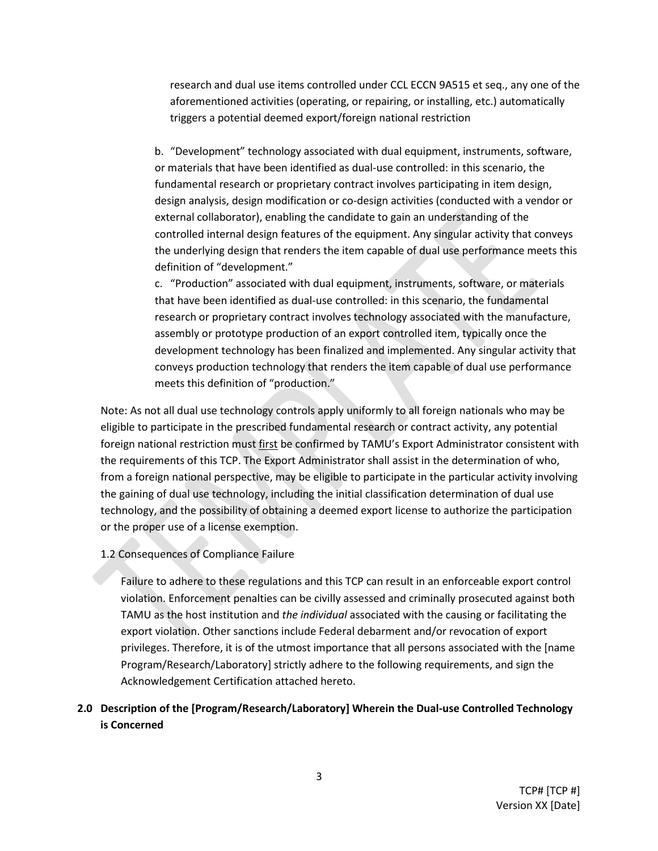research and dual use items controlled under CCL ECCN 9A515 et seq., any one of the aforementioned activities (operating, or repairing, or installing, etc.) automatically triggers a potential deemed export/foreign national restriction

b. "Development" technology associated with dual equipment, instruments, software, or materials that have been identified as dual-use controlled: in this scenario, the fundamental research or proprietary contract involves participating in item design, design analysis, design modification or co-design activities (conducted with a vendor or external collaborator), enabling the candidate to gain an understanding of the controlled internal design features of the equipment. Any singular activity that conveys the underlying design that renders the item capable of dual use performance meets this definition of "development."

c. "Production" associated with dual equipment, instruments, software, or materials that have been identified as dual-use controlled: in this scenario, the fundamental research or proprietary contract involves technology associated with the manufacture, assembly or prototype production of an export controlled item, typically once the development technology has been finalized and implemented. Any singular activity that conveys production technology that renders the item capable of dual use performance meets this definition of "production."

Note: As not all dual use technology controls apply uniformly to all foreign nationals who may be eligible to participate in the prescribed fundamental research or contract activity, any potential foreign national restriction must first be confirmed by TAMU's Export Administrator consistent with the requirements of this TCP. The Export Administrator shall assist in the determination of who, from a foreign national perspective, may be eligible to participate in the particular activity involving the gaining of dual use technology, including the initial classification determination of dual use technology, and the possibility of obtaining a deemed export license to authorize the participation or the proper use of a license exemption.

1.2 Consequences of Compliance Failure

Failure to adhere to these regulations and this TCP can result in an enforceable export control violation. Enforcement penalties can be civilly assessed and criminally prosecuted against both TAMU as the host institution and *the individual* associated with the causing or facilitating the export violation. Other sanctions include Federal debarment and/or revocation of export privileges. Therefore, it is of the utmost importance that all persons associated with the [name Program/Research/Laboratory] strictly adhere to the following requirements, and sign the Acknowledgement Certification attached hereto.

# **2.0 Description of the [Program/Research/Laboratory] Wherein the Dual-use Controlled Technology is Concerned**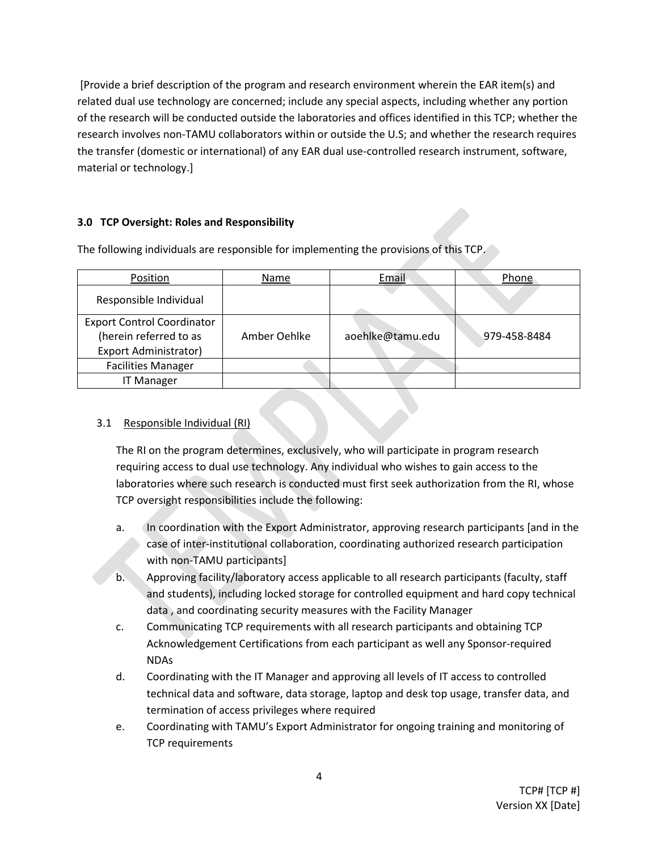[Provide a brief description of the program and research environment wherein the EAR item(s) and related dual use technology are concerned; include any special aspects, including whether any portion of the research will be conducted outside the laboratories and offices identified in this TCP; whether the research involves non-TAMU collaborators within or outside the U.S; and whether the research requires the transfer (domestic or international) of any EAR dual use-controlled research instrument, software, material or technology.]

### **3.0 TCP Oversight: Roles and Responsibility**

The following individuals are responsible for implementing the provisions of this TCP.

| Position                                                                                    | Name         | Email            | Phone        |
|---------------------------------------------------------------------------------------------|--------------|------------------|--------------|
| Responsible Individual                                                                      |              |                  |              |
| <b>Export Control Coordinator</b><br>(herein referred to as<br><b>Export Administrator)</b> | Amber Oehlke | aoehlke@tamu.edu | 979-458-8484 |
| <b>Facilities Manager</b>                                                                   |              |                  |              |
| <b>IT Manager</b>                                                                           |              |                  |              |

### 3.1 Responsible Individual (RI)

The RI on the program determines, exclusively, who will participate in program research requiring access to dual use technology. Any individual who wishes to gain access to the laboratories where such research is conducted must first seek authorization from the RI, whose TCP oversight responsibilities include the following:

- a. In coordination with the Export Administrator, approving research participants [and in the case of inter-institutional collaboration, coordinating authorized research participation with non-TAMU participants]
- b. Approving facility/laboratory access applicable to all research participants (faculty, staff and students), including locked storage for controlled equipment and hard copy technical data , and coordinating security measures with the Facility Manager
- c. Communicating TCP requirements with all research participants and obtaining TCP Acknowledgement Certifications from each participant as well any Sponsor-required NDAs
- d. Coordinating with the IT Manager and approving all levels of IT access to controlled technical data and software, data storage, laptop and desk top usage, transfer data, and termination of access privileges where required
- e. Coordinating with TAMU's Export Administrator for ongoing training and monitoring of TCP requirements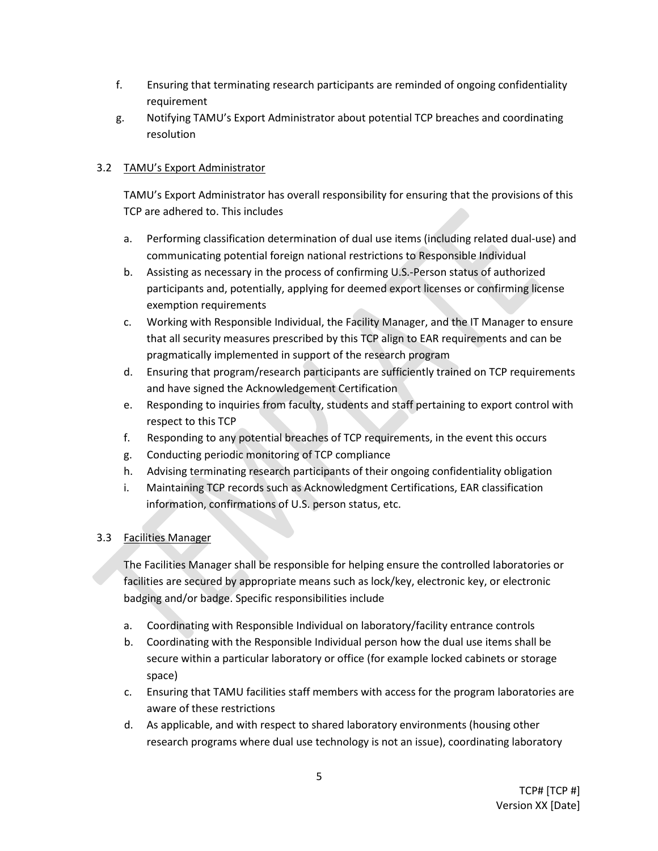- f. Ensuring that terminating research participants are reminded of ongoing confidentiality requirement
- g. Notifying TAMU's Export Administrator about potential TCP breaches and coordinating resolution

# 3.2 TAMU's Export Administrator

TAMU's Export Administrator has overall responsibility for ensuring that the provisions of this TCP are adhered to. This includes

- a. Performing classification determination of dual use items (including related dual-use) and communicating potential foreign national restrictions to Responsible Individual
- b. Assisting as necessary in the process of confirming U.S.-Person status of authorized participants and, potentially, applying for deemed export licenses or confirming license exemption requirements
- c. Working with Responsible Individual, the Facility Manager, and the IT Manager to ensure that all security measures prescribed by this TCP align to EAR requirements and can be pragmatically implemented in support of the research program
- d. Ensuring that program/research participants are sufficiently trained on TCP requirements and have signed the Acknowledgement Certification
- e. Responding to inquiries from faculty, students and staff pertaining to export control with respect to this TCP
- f. Responding to any potential breaches of TCP requirements, in the event this occurs
- g. Conducting periodic monitoring of TCP compliance
- h. Advising terminating research participants of their ongoing confidentiality obligation
- i. Maintaining TCP records such as Acknowledgment Certifications, EAR classification information, confirmations of U.S. person status, etc.

# 3.3 Facilities Manager

The Facilities Manager shall be responsible for helping ensure the controlled laboratories or facilities are secured by appropriate means such as lock/key, electronic key, or electronic badging and/or badge. Specific responsibilities include

- a. Coordinating with Responsible Individual on laboratory/facility entrance controls
- b. Coordinating with the Responsible Individual person how the dual use items shall be secure within a particular laboratory or office (for example locked cabinets or storage space)
- c. Ensuring that TAMU facilities staff members with access for the program laboratories are aware of these restrictions
- d. As applicable, and with respect to shared laboratory environments (housing other research programs where dual use technology is not an issue), coordinating laboratory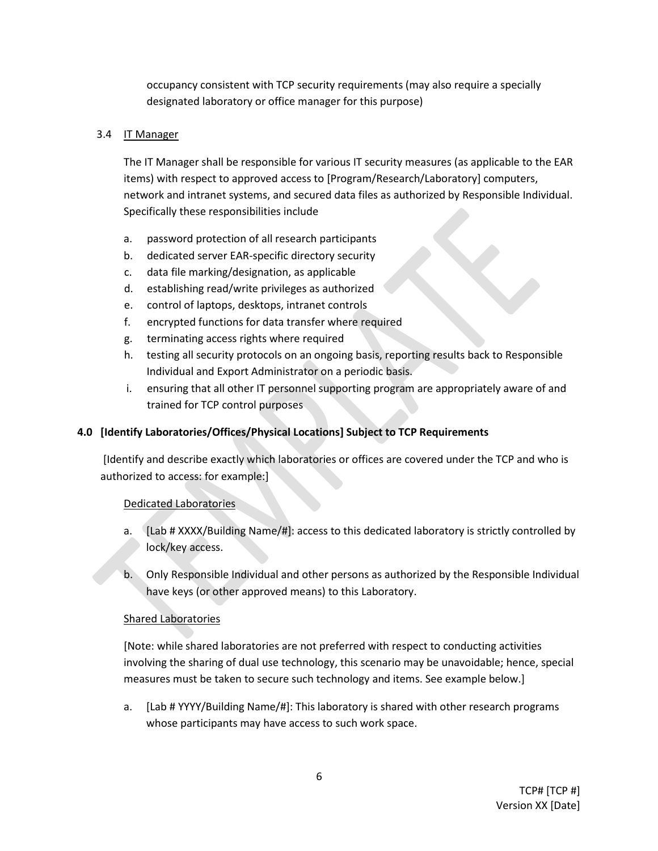occupancy consistent with TCP security requirements (may also require a specially designated laboratory or office manager for this purpose)

### 3.4 IT Manager

The IT Manager shall be responsible for various IT security measures (as applicable to the EAR items) with respect to approved access to [Program/Research/Laboratory] computers, network and intranet systems, and secured data files as authorized by Responsible Individual. Specifically these responsibilities include

- a. password protection of all research participants
- b. dedicated server EAR-specific directory security
- c. data file marking/designation, as applicable
- d. establishing read/write privileges as authorized
- e. control of laptops, desktops, intranet controls
- f. encrypted functions for data transfer where required
- g. terminating access rights where required
- h. testing all security protocols on an ongoing basis, reporting results back to Responsible Individual and Export Administrator on a periodic basis.
- i. ensuring that all other IT personnel supporting program are appropriately aware of and trained for TCP control purposes

# **4.0 [Identify Laboratories/Offices/Physical Locations] Subject to TCP Requirements**

[Identify and describe exactly which laboratories or offices are covered under the TCP and who is authorized to access: for example:]

#### Dedicated Laboratories

- a. [Lab # XXXX/Building Name/#]: access to this dedicated laboratory is strictly controlled by lock/key access.
- b. Only Responsible Individual and other persons as authorized by the Responsible Individual have keys (or other approved means) to this Laboratory.

# Shared Laboratories

[Note: while shared laboratories are not preferred with respect to conducting activities involving the sharing of dual use technology, this scenario may be unavoidable; hence, special measures must be taken to secure such technology and items. See example below.]

a. [Lab # YYYY/Building Name/#]: This laboratory is shared with other research programs whose participants may have access to such work space.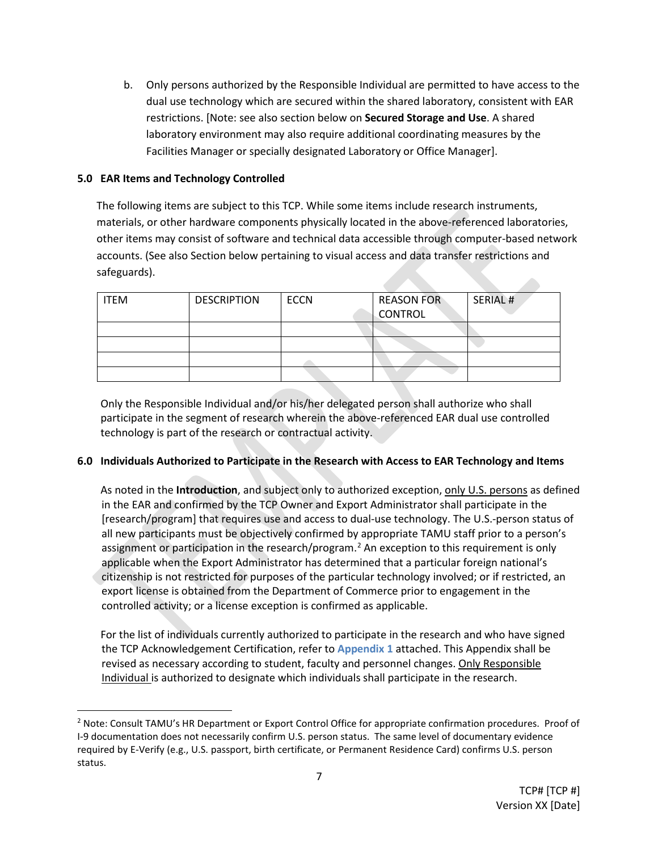b. Only persons authorized by the Responsible Individual are permitted to have access to the dual use technology which are secured within the shared laboratory, consistent with EAR restrictions. [Note: see also section below on **Secured Storage and Use**. A shared laboratory environment may also require additional coordinating measures by the Facilities Manager or specially designated Laboratory or Office Manager].

### **5.0 EAR Items and Technology Controlled**

The following items are subject to this TCP. While some items include research instruments, materials, or other hardware components physically located in the above-referenced laboratories, other items may consist of software and technical data accessible through computer-based network accounts. (See also Section below pertaining to visual access and data transfer restrictions and safeguards). **College** 

| <b>ITEM</b> | <b>DESCRIPTION</b> | <b>ECCN</b> | <b>REASON FOR</b> | SERIAL # |
|-------------|--------------------|-------------|-------------------|----------|
|             |                    |             | <b>CONTROL</b>    |          |
|             |                    |             |                   |          |
|             |                    |             |                   |          |
|             |                    |             |                   |          |
|             |                    |             |                   |          |

Only the Responsible Individual and/or his/her delegated person shall authorize who shall participate in the segment of research wherein the above-referenced EAR dual use controlled technology is part of the research or contractual activity.

# **6.0 Individuals Authorized to Participate in the Research with Access to EAR Technology and Items**

As noted in the **Introduction**, and subject only to authorized exception, only U.S. persons as defined in the EAR and confirmed by the TCP Owner and Export Administrator shall participate in the [research/program] that requires use and access to dual-use technology. The U.S.-person status of all new participants must be objectively confirmed by appropriate TAMU staff prior to a person's assignment or participation in the research/program.<sup>[2](#page-6-0)</sup> An exception to this requirement is only applicable when the Export Administrator has determined that a particular foreign national's citizenship is not restricted for purposes of the particular technology involved; or if restricted, an export license is obtained from the Department of Commerce prior to engagement in the controlled activity; or a license exception is confirmed as applicable.

For the list of individuals currently authorized to participate in the research and who have signed the TCP Acknowledgement Certification, refer to **Appendix 1** attached. This Appendix shall be revised as necessary according to student, faculty and personnel changes. Only Responsible Individual is authorized to designate which individuals shall participate in the research.

<span id="page-6-0"></span> <sup>2</sup> Note: Consult TAMU's HR Department or Export Control Office for appropriate confirmation procedures. Proof of I-9 documentation does not necessarily confirm U.S. person status. The same level of documentary evidence required by E-Verify (e.g., U.S. passport, birth certificate, or Permanent Residence Card) confirms U.S. person status.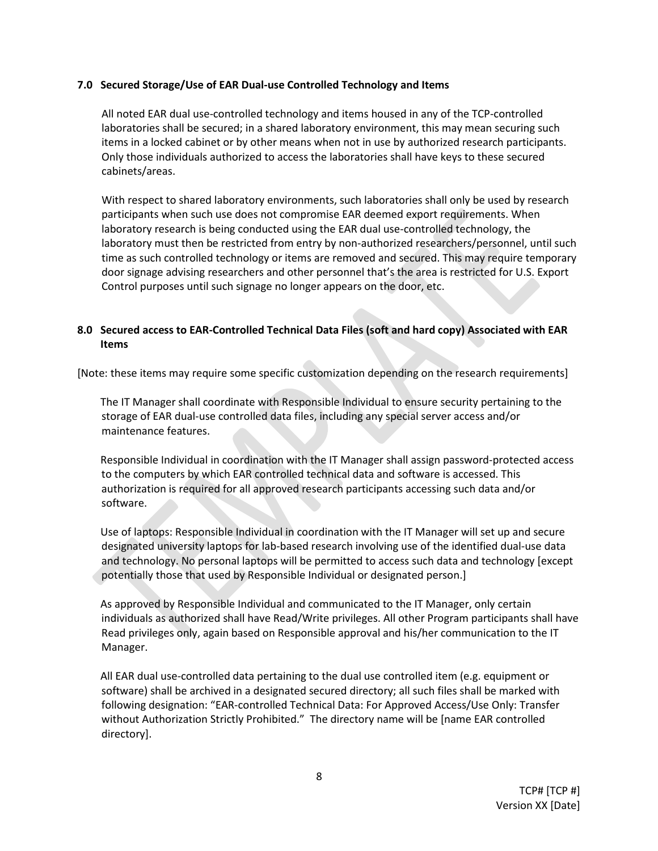#### **7.0 Secured Storage/Use of EAR Dual-use Controlled Technology and Items**

All noted EAR dual use-controlled technology and items housed in any of the TCP-controlled laboratories shall be secured; in a shared laboratory environment, this may mean securing such items in a locked cabinet or by other means when not in use by authorized research participants. Only those individuals authorized to access the laboratories shall have keys to these secured cabinets/areas.

With respect to shared laboratory environments, such laboratories shall only be used by research participants when such use does not compromise EAR deemed export requirements. When laboratory research is being conducted using the EAR dual use-controlled technology, the laboratory must then be restricted from entry by non-authorized researchers/personnel, until such time as such controlled technology or items are removed and secured. This may require temporary door signage advising researchers and other personnel that's the area is restricted for U.S. Export Control purposes until such signage no longer appears on the door, etc.

### **8.0 Secured access to EAR-Controlled Technical Data Files (soft and hard copy) Associated with EAR Items**

[Note: these items may require some specific customization depending on the research requirements]

The IT Manager shall coordinate with Responsible Individual to ensure security pertaining to the storage of EAR dual-use controlled data files, including any special server access and/or maintenance features.

Responsible Individual in coordination with the IT Manager shall assign password-protected access to the computers by which EAR controlled technical data and software is accessed. This authorization is required for all approved research participants accessing such data and/or software.

Use of laptops: Responsible Individual in coordination with the IT Manager will set up and secure designated university laptops for lab-based research involving use of the identified dual-use data and technology. No personal laptops will be permitted to access such data and technology [except potentially those that used by Responsible Individual or designated person.]

As approved by Responsible Individual and communicated to the IT Manager, only certain individuals as authorized shall have Read/Write privileges. All other Program participants shall have Read privileges only, again based on Responsible approval and his/her communication to the IT Manager.

All EAR dual use-controlled data pertaining to the dual use controlled item (e.g. equipment or software) shall be archived in a designated secured directory; all such files shall be marked with following designation: "EAR-controlled Technical Data: For Approved Access/Use Only: Transfer without Authorization Strictly Prohibited." The directory name will be [name EAR controlled directory].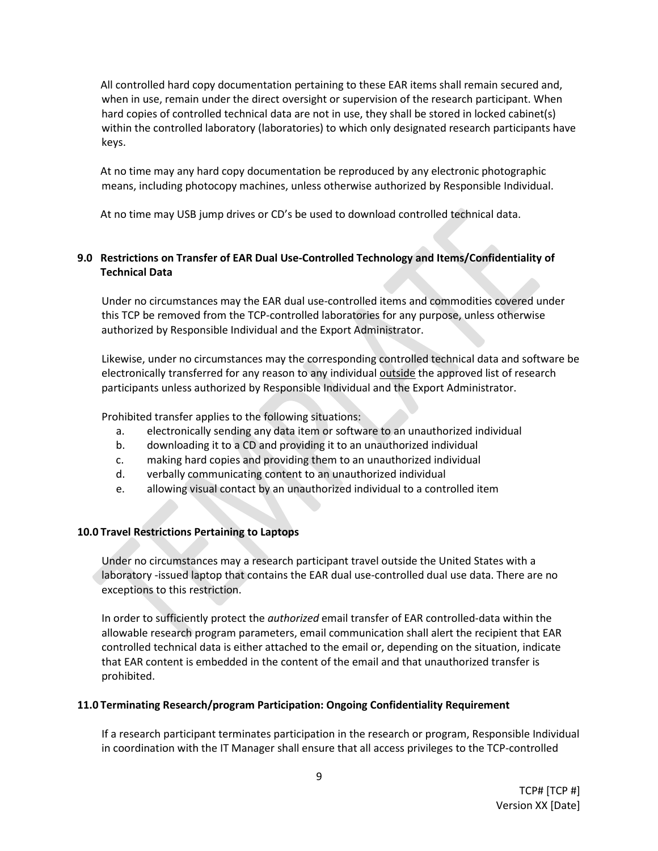All controlled hard copy documentation pertaining to these EAR items shall remain secured and, when in use, remain under the direct oversight or supervision of the research participant. When hard copies of controlled technical data are not in use, they shall be stored in locked cabinet(s) within the controlled laboratory (laboratories) to which only designated research participants have keys.

At no time may any hard copy documentation be reproduced by any electronic photographic means, including photocopy machines, unless otherwise authorized by Responsible Individual.

At no time may USB jump drives or CD's be used to download controlled technical data.

# **9.0 Restrictions on Transfer of EAR Dual Use-Controlled Technology and Items/Confidentiality of Technical Data**

Under no circumstances may the EAR dual use-controlled items and commodities covered under this TCP be removed from the TCP-controlled laboratories for any purpose, unless otherwise authorized by Responsible Individual and the Export Administrator.

Likewise, under no circumstances may the corresponding controlled technical data and software be electronically transferred for any reason to any individual outside the approved list of research participants unless authorized by Responsible Individual and the Export Administrator.

Prohibited transfer applies to the following situations:

- a. electronically sending any data item or software to an unauthorized individual
- b. downloading it to a CD and providing it to an unauthorized individual
- c. making hard copies and providing them to an unauthorized individual
- d. verbally communicating content to an unauthorized individual
- e. allowing visual contact by an unauthorized individual to a controlled item

#### **10.0 Travel Restrictions Pertaining to Laptops**

Under no circumstances may a research participant travel outside the United States with a laboratory -issued laptop that contains the EAR dual use-controlled dual use data. There are no exceptions to this restriction.

In order to sufficiently protect the *authorized* email transfer of EAR controlled-data within the allowable research program parameters, email communication shall alert the recipient that EAR controlled technical data is either attached to the email or, depending on the situation, indicate that EAR content is embedded in the content of the email and that unauthorized transfer is prohibited.

#### **11.0 Terminating Research/program Participation: Ongoing Confidentiality Requirement**

If a research participant terminates participation in the research or program, Responsible Individual in coordination with the IT Manager shall ensure that all access privileges to the TCP-controlled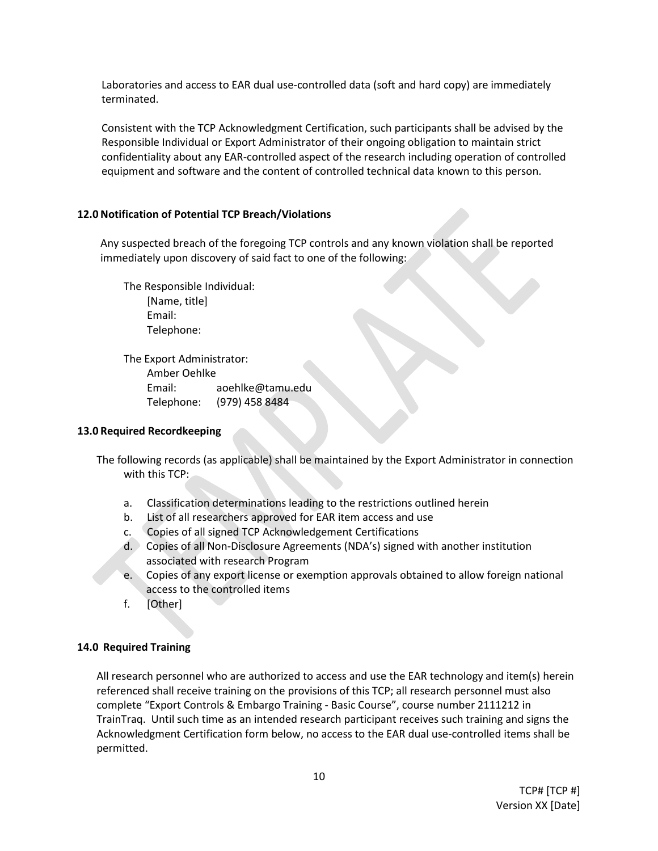Laboratories and access to EAR dual use-controlled data (soft and hard copy) are immediately terminated.

Consistent with the TCP Acknowledgment Certification, such participants shall be advised by the Responsible Individual or Export Administrator of their ongoing obligation to maintain strict confidentiality about any EAR-controlled aspect of the research including operation of controlled equipment and software and the content of controlled technical data known to this person.

#### **12.0 Notification of Potential TCP Breach/Violations**

Any suspected breach of the foregoing TCP controls and any known violation shall be reported immediately upon discovery of said fact to one of the following:

The Responsible Individual: [Name, title] Email: Telephone:

The Export Administrator: Amber Oehlke Email: aoehlke@tamu.edu Telephone: (979) 458 8484

#### **13.0 Required Recordkeeping**

The following records (as applicable) shall be maintained by the Export Administrator in connection with this TCP:

- a. Classification determinations leading to the restrictions outlined herein
- b. List of all researchers approved for EAR item access and use
- c. Copies of all signed TCP Acknowledgement Certifications
- d. Copies of all Non-Disclosure Agreements (NDA's) signed with another institution associated with research Program
- e. Copies of any export license or exemption approvals obtained to allow foreign national access to the controlled items
- f. [Other]

#### **14.0 Required Training**

All research personnel who are authorized to access and use the EAR technology and item(s) herein referenced shall receive training on the provisions of this TCP; all research personnel must also complete "Export Controls & Embargo Training - Basic Course", course number 2111212 in TrainTraq. Until such time as an intended research participant receives such training and signs the Acknowledgment Certification form below, no access to the EAR dual use-controlled items shall be permitted.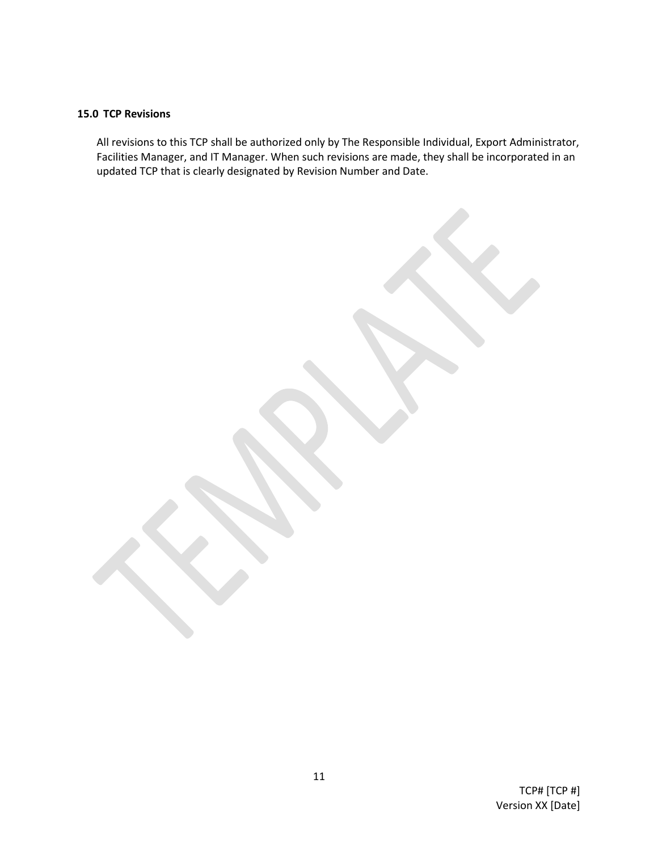### **15.0 TCP Revisions**

All revisions to this TCP shall be authorized only by The Responsible Individual, Export Administrator, Facilities Manager, and IT Manager. When such revisions are made, they shall be incorporated in an updated TCP that is clearly designated by Revision Number and Date.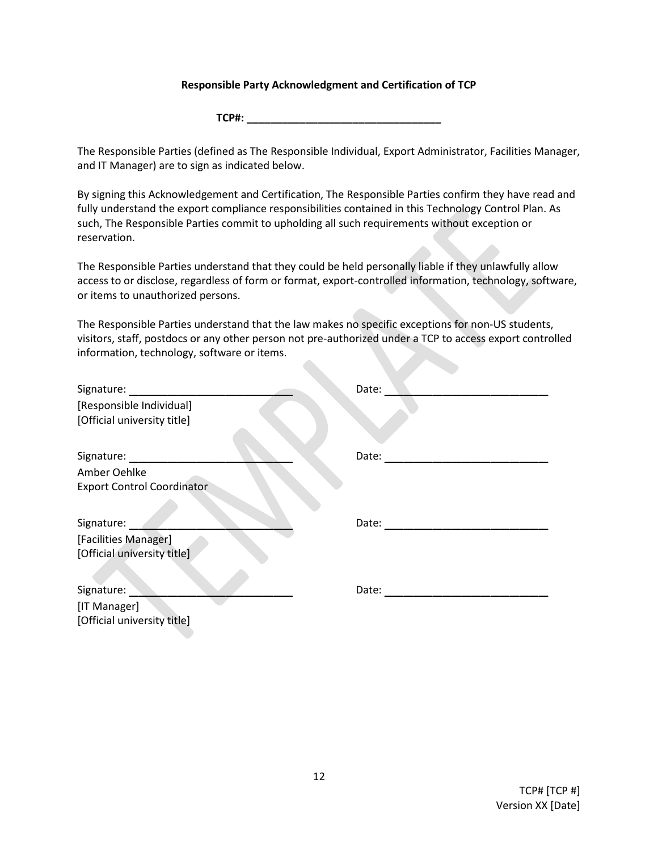#### **Responsible Party Acknowledgment and Certification of TCP**

**TCP#: \_\_\_\_\_\_\_\_\_\_\_\_\_\_\_\_\_\_\_\_\_\_\_\_\_\_\_\_\_\_\_\_\_**

The Responsible Parties (defined as The Responsible Individual, Export Administrator, Facilities Manager, and IT Manager) are to sign as indicated below.

By signing this Acknowledgement and Certification, The Responsible Parties confirm they have read and fully understand the export compliance responsibilities contained in this Technology Control Plan. As such, The Responsible Parties commit to upholding all such requirements without exception or reservation.

The Responsible Parties understand that they could be held personally liable if they unlawfully allow access to or disclose, regardless of form or format, export-controlled information, technology, software, or items to unauthorized persons.

The Responsible Parties understand that the law makes no specific exceptions for non-US students, visitors, staff, postdocs or any other person not pre-authorized under a TCP to access export controlled information, technology, software or items.

| Signature:                        | Date: |
|-----------------------------------|-------|
| [Responsible Individual]          |       |
| [Official university title]       |       |
| Signature:                        | Date: |
| Amber Oehlke                      |       |
| <b>Export Control Coordinator</b> |       |
| Signature:                        | Date: |
| [Facilities Manager]              |       |
| [Official university title]       |       |
| Signature:                        | Date: |
| [IT Manager]                      |       |
| [Official university title]       |       |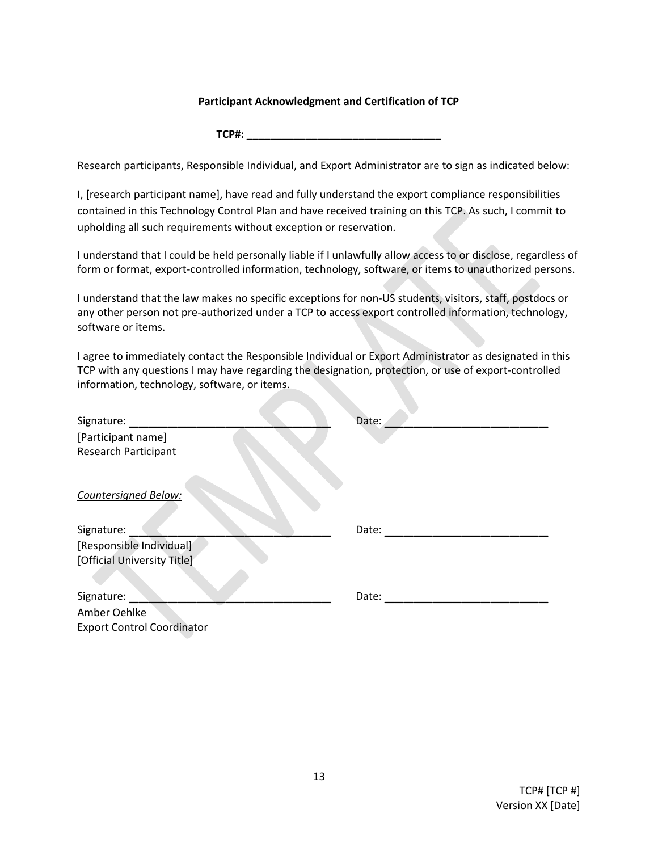#### **Participant Acknowledgment and Certification of TCP**

**TCP#: \_\_\_\_\_\_\_\_\_\_\_\_\_\_\_\_\_\_\_\_\_\_\_\_\_\_\_\_\_\_\_\_\_**

Research participants, Responsible Individual, and Export Administrator are to sign as indicated below:

I, [research participant name], have read and fully understand the export compliance responsibilities contained in this Technology Control Plan and have received training on this TCP. As such, I commit to upholding all such requirements without exception or reservation.

I understand that I could be held personally liable if I unlawfully allow access to or disclose, regardless of form or format, export-controlled information, technology, software, or items to unauthorized persons.

I understand that the law makes no specific exceptions for non-US students, visitors, staff, postdocs or any other person not pre-authorized under a TCP to access export controlled information, technology, software or items.

I agree to immediately contact the Responsible Individual or Export Administrator as designated in this TCP with any questions I may have regarding the designation, protection, or use of export-controlled information, technology, software, or items.

| Signature:                        | Date: |
|-----------------------------------|-------|
| [Participant name]                |       |
| <b>Research Participant</b>       |       |
|                                   |       |
| <b>Countersigned Below:</b>       |       |
|                                   |       |
| Signature:                        | Date: |
| [Responsible Individual]          |       |
| [Official University Title]       |       |
|                                   |       |
| Signature:                        | Date: |
| Amber Oehlke                      |       |
| <b>Export Control Coordinator</b> |       |